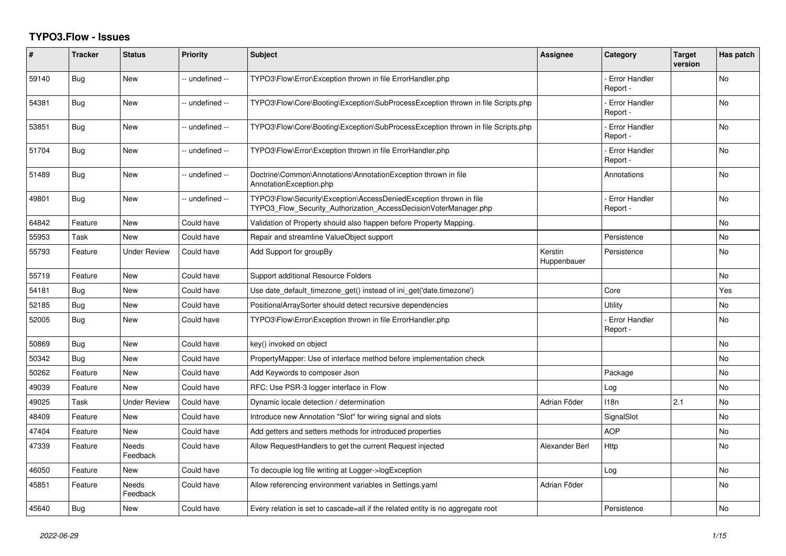## **TYPO3.Flow - Issues**

| #     | <b>Tracker</b> | <b>Status</b>            | <b>Priority</b> | <b>Subject</b>                                                                                                                         | <b>Assignee</b>        | Category                         | <b>Target</b><br>version | Has patch |
|-------|----------------|--------------------------|-----------------|----------------------------------------------------------------------------------------------------------------------------------------|------------------------|----------------------------------|--------------------------|-----------|
| 59140 | Bug            | <b>New</b>               | -- undefined -- | TYPO3\Flow\Error\Exception thrown in file ErrorHandler.php                                                                             |                        | Error Handler<br>Report -        |                          | <b>No</b> |
| 54381 | Bug            | <b>New</b>               | -- undefined -- | TYPO3\Flow\Core\Booting\Exception\SubProcessException thrown in file Scripts.php                                                       |                        | <b>Error Handler</b><br>Report - |                          | <b>No</b> |
| 53851 | Bug            | <b>New</b>               | -- undefined -- | TYPO3\Flow\Core\Booting\Exception\SubProcessException thrown in file Scripts.php                                                       |                        | <b>Error Handler</b><br>Report - |                          | <b>No</b> |
| 51704 | <b>Bug</b>     | <b>New</b>               | -- undefined -- | TYPO3\Flow\Error\Exception thrown in file ErrorHandler.php                                                                             |                        | <b>Error Handler</b><br>Report - |                          | <b>No</b> |
| 51489 | Bug            | New                      | -- undefined -- | Doctrine\Common\Annotations\AnnotationException thrown in file<br>AnnotationException.php                                              |                        | Annotations                      |                          | No        |
| 49801 | Bug            | New                      | -- undefined -- | TYPO3\Flow\Security\Exception\AccessDeniedException thrown in file<br>TYPO3 Flow Security Authorization AccessDecisionVoterManager.php |                        | <b>Error Handler</b><br>Report - |                          | <b>No</b> |
| 64842 | Feature        | <b>New</b>               | Could have      | Validation of Property should also happen before Property Mapping.                                                                     |                        |                                  |                          | <b>No</b> |
| 55953 | Task           | New                      | Could have      | Repair and streamline ValueObject support                                                                                              |                        | Persistence                      |                          | No        |
| 55793 | Feature        | <b>Under Review</b>      | Could have      | Add Support for groupBy                                                                                                                | Kerstin<br>Huppenbauer | Persistence                      |                          | No        |
| 55719 | Feature        | <b>New</b>               | Could have      | Support additional Resource Folders                                                                                                    |                        |                                  |                          | No        |
| 54181 | Bug            | <b>New</b>               | Could have      | Use date_default_timezone_get() instead of ini_get('date.timezone')                                                                    |                        | Core                             |                          | Yes       |
| 52185 | Bug            | New                      | Could have      | PositionalArraySorter should detect recursive dependencies                                                                             |                        | Utility                          |                          | No        |
| 52005 | Bug            | New                      | Could have      | TYPO3\Flow\Error\Exception thrown in file ErrorHandler.php                                                                             |                        | <b>Error Handler</b><br>Report - |                          | No        |
| 50869 | Bug            | <b>New</b>               | Could have      | key() invoked on object                                                                                                                |                        |                                  |                          | <b>No</b> |
| 50342 | Bug            | <b>New</b>               | Could have      | PropertyMapper: Use of interface method before implementation check                                                                    |                        |                                  |                          | <b>No</b> |
| 50262 | Feature        | New                      | Could have      | Add Keywords to composer Json                                                                                                          |                        | Package                          |                          | No        |
| 49039 | Feature        | <b>New</b>               | Could have      | RFC: Use PSR-3 logger interface in Flow                                                                                                |                        | Log                              |                          | No        |
| 49025 | Task           | Under Review             | Could have      | Dynamic locale detection / determination                                                                                               | Adrian Föder           | 118n                             | 2.1                      | No        |
| 48409 | Feature        | New                      | Could have      | Introduce new Annotation "Slot" for wiring signal and slots                                                                            |                        | SignalSlot                       |                          | <b>No</b> |
| 47404 | Feature        | New                      | Could have      | Add getters and setters methods for introduced properties                                                                              |                        | <b>AOP</b>                       |                          | No        |
| 47339 | Feature        | <b>Needs</b><br>Feedback | Could have      | Allow RequestHandlers to get the current Request injected                                                                              | Alexander Berl         | Http                             |                          | No        |
| 46050 | Feature        | <b>New</b>               | Could have      | To decouple log file writing at Logger->logException                                                                                   |                        | Log                              |                          | <b>No</b> |
| 45851 | Feature        | <b>Needs</b><br>Feedback | Could have      | Allow referencing environment variables in Settings.yaml                                                                               | Adrian Föder           |                                  |                          | <b>No</b> |
| 45640 | Bug            | New                      | Could have      | Every relation is set to cascade=all if the related entity is no aggregate root                                                        |                        | Persistence                      |                          | No        |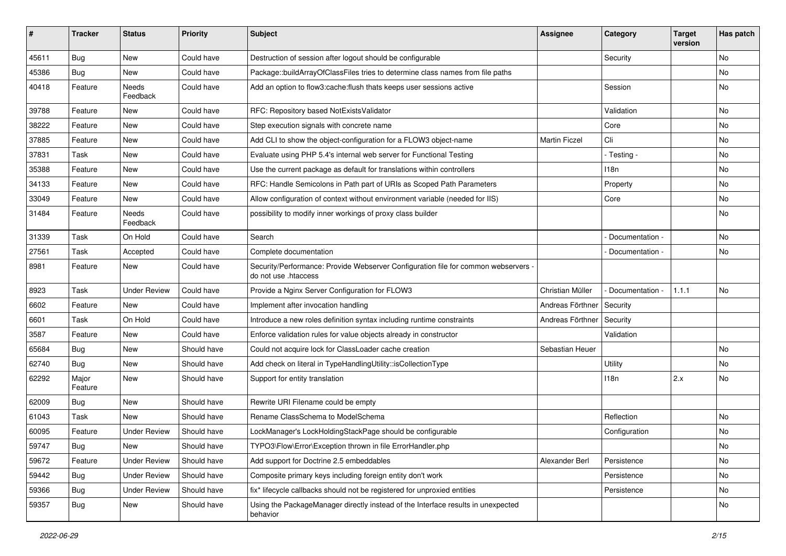| #     | <b>Tracker</b>   | <b>Status</b>       | <b>Priority</b> | <b>Subject</b>                                                                                             | <b>Assignee</b>      | Category        | <b>Target</b><br>version | Has patch |
|-------|------------------|---------------------|-----------------|------------------------------------------------------------------------------------------------------------|----------------------|-----------------|--------------------------|-----------|
| 45611 | Bug              | New                 | Could have      | Destruction of session after logout should be configurable                                                 |                      | Security        |                          | No        |
| 45386 | <b>Bug</b>       | New                 | Could have      | Package::buildArrayOfClassFiles tries to determine class names from file paths                             |                      |                 |                          | No        |
| 40418 | Feature          | Needs<br>Feedback   | Could have      | Add an option to flow3:cache: flush thats keeps user sessions active                                       |                      | Session         |                          | No        |
| 39788 | Feature          | New                 | Could have      | RFC: Repository based NotExistsValidator                                                                   |                      | Validation      |                          | No        |
| 38222 | Feature          | New                 | Could have      | Step execution signals with concrete name                                                                  |                      | Core            |                          | <b>No</b> |
| 37885 | Feature          | New                 | Could have      | Add CLI to show the object-configuration for a FLOW3 object-name                                           | <b>Martin Ficzel</b> | Cli             |                          | No        |
| 37831 | Task             | New                 | Could have      | Evaluate using PHP 5.4's internal web server for Functional Testing                                        |                      | - Testing -     |                          | No        |
| 35388 | Feature          | New                 | Could have      | Use the current package as default for translations within controllers                                     |                      | 118n            |                          | No        |
| 34133 | Feature          | New                 | Could have      | RFC: Handle Semicolons in Path part of URIs as Scoped Path Parameters                                      |                      | Property        |                          | No        |
| 33049 | Feature          | New                 | Could have      | Allow configuration of context without environment variable (needed for IIS)                               |                      | Core            |                          | No        |
| 31484 | Feature          | Needs<br>Feedback   | Could have      | possibility to modify inner workings of proxy class builder                                                |                      |                 |                          | No        |
| 31339 | Task             | On Hold             | Could have      | Search                                                                                                     |                      | Documentation - |                          | <b>No</b> |
| 27561 | Task             | Accepted            | Could have      | Complete documentation                                                                                     |                      | Documentation - |                          | No        |
| 8981  | Feature          | New                 | Could have      | Security/Performance: Provide Webserver Configuration file for common webservers -<br>do not use .htaccess |                      |                 |                          |           |
| 8923  | Task             | <b>Under Review</b> | Could have      | Provide a Nginx Server Configuration for FLOW3                                                             | Christian Müller     | Documentation - | 1.1.1                    | No        |
| 6602  | Feature          | New                 | Could have      | Implement after invocation handling                                                                        | Andreas Förthner     | Security        |                          |           |
| 6601  | Task             | On Hold             | Could have      | Introduce a new roles definition syntax including runtime constraints                                      | Andreas Förthner     | Security        |                          |           |
| 3587  | Feature          | New                 | Could have      | Enforce validation rules for value objects already in constructor                                          |                      | Validation      |                          |           |
| 65684 | Bug              | New                 | Should have     | Could not acquire lock for ClassLoader cache creation                                                      | Sebastian Heuer      |                 |                          | No        |
| 62740 | <b>Bug</b>       | New                 | Should have     | Add check on literal in TypeHandlingUtility::isCollectionType                                              |                      | Utility         |                          | No        |
| 62292 | Major<br>Feature | New                 | Should have     | Support for entity translation                                                                             |                      | 118n            | 2.x                      | No        |
| 62009 | Bug              | New                 | Should have     | Rewrite URI Filename could be empty                                                                        |                      |                 |                          |           |
| 61043 | Task             | New                 | Should have     | Rename ClassSchema to ModelSchema                                                                          |                      | Reflection      |                          | <b>No</b> |
| 60095 | Feature          | <b>Under Review</b> | Should have     | LockManager's LockHoldingStackPage should be configurable                                                  |                      | Configuration   |                          | No        |
| 59747 | Bug              | New                 | Should have     | TYPO3\Flow\Error\Exception thrown in file ErrorHandler.php                                                 |                      |                 |                          | N0        |
| 59672 | Feature          | <b>Under Review</b> | Should have     | Add support for Doctrine 2.5 embeddables                                                                   | Alexander Berl       | Persistence     |                          | No        |
| 59442 | <b>Bug</b>       | <b>Under Review</b> | Should have     | Composite primary keys including foreign entity don't work                                                 |                      | Persistence     |                          | No        |
| 59366 | Bug              | <b>Under Review</b> | Should have     | fix* lifecycle callbacks should not be registered for unproxied entities                                   |                      | Persistence     |                          | No        |
| 59357 | Bug              | New                 | Should have     | Using the PackageManager directly instead of the Interface results in unexpected<br>behavior               |                      |                 |                          | No        |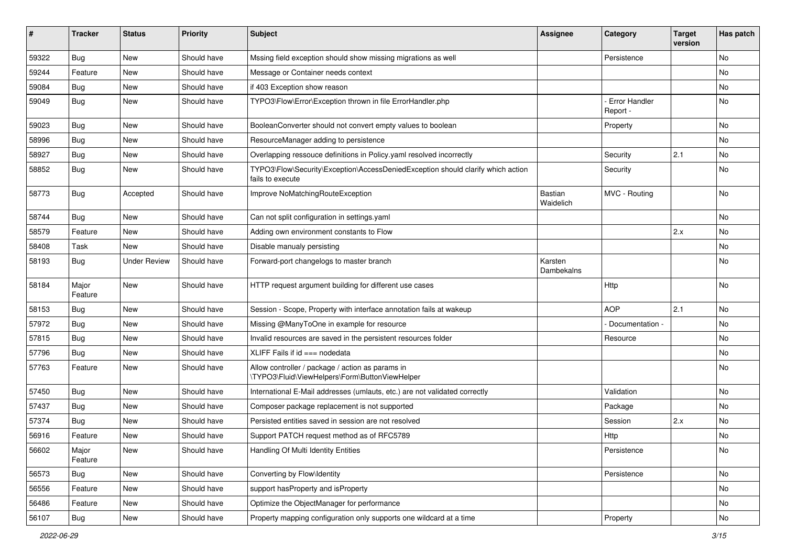| #     | <b>Tracker</b>   | <b>Status</b>       | <b>Priority</b> | <b>Subject</b>                                                                                      | Assignee              | Category                         | <b>Target</b><br>version | Has patch |
|-------|------------------|---------------------|-----------------|-----------------------------------------------------------------------------------------------------|-----------------------|----------------------------------|--------------------------|-----------|
| 59322 | <b>Bug</b>       | <b>New</b>          | Should have     | Mssing field exception should show missing migrations as well                                       |                       | Persistence                      |                          | No        |
| 59244 | Feature          | New                 | Should have     | Message or Container needs context                                                                  |                       |                                  |                          | No        |
| 59084 | Bug              | New                 | Should have     | if 403 Exception show reason                                                                        |                       |                                  |                          | No        |
| 59049 | Bug              | New                 | Should have     | TYPO3\Flow\Error\Exception thrown in file ErrorHandler.php                                          |                       | <b>Error Handler</b><br>Report - |                          | No        |
| 59023 | Bug              | <b>New</b>          | Should have     | BooleanConverter should not convert empty values to boolean                                         |                       | Property                         |                          | No        |
| 58996 | Bug              | New                 | Should have     | ResourceManager adding to persistence                                                               |                       |                                  |                          | No        |
| 58927 | Bug              | New                 | Should have     | Overlapping ressouce definitions in Policy.yaml resolved incorrectly                                |                       | Security                         | 2.1                      | No        |
| 58852 | Bug              | New                 | Should have     | TYPO3\Flow\Security\Exception\AccessDeniedException should clarify which action<br>fails to execute |                       | Security                         |                          | No        |
| 58773 | Bug              | Accepted            | Should have     | Improve NoMatchingRouteException                                                                    | Bastian<br>Waidelich  | MVC - Routing                    |                          | No        |
| 58744 | Bug              | <b>New</b>          | Should have     | Can not split configuration in settings.yaml                                                        |                       |                                  |                          | No        |
| 58579 | Feature          | <b>New</b>          | Should have     | Adding own environment constants to Flow                                                            |                       |                                  | 2.x                      | No.       |
| 58408 | Task             | New                 | Should have     | Disable manualy persisting                                                                          |                       |                                  |                          | No        |
| 58193 | Bug              | <b>Under Review</b> | Should have     | Forward-port changelogs to master branch                                                            | Karsten<br>Dambekalns |                                  |                          | No        |
| 58184 | Major<br>Feature | <b>New</b>          | Should have     | HTTP request argument building for different use cases                                              |                       | Http                             |                          | No        |
| 58153 | Bug              | <b>New</b>          | Should have     | Session - Scope, Property with interface annotation fails at wakeup                                 |                       | <b>AOP</b>                       | 2.1                      | No        |
| 57972 | Bug              | New                 | Should have     | Missing @ManyToOne in example for resource                                                          |                       | Documentation -                  |                          | No        |
| 57815 | Bug              | New                 | Should have     | Invalid resources are saved in the persistent resources folder                                      |                       | Resource                         |                          | No        |
| 57796 | Bug              | New                 | Should have     | XLIFF Fails if $id == node data$                                                                    |                       |                                  |                          | No        |
| 57763 | Feature          | New                 | Should have     | Allow controller / package / action as params in<br>\TYPO3\Fluid\ViewHelpers\Form\ButtonViewHelper  |                       |                                  |                          | <b>No</b> |
| 57450 | Bug              | New                 | Should have     | International E-Mail addresses (umlauts, etc.) are not validated correctly                          |                       | Validation                       |                          | No        |
| 57437 | Bug              | New                 | Should have     | Composer package replacement is not supported                                                       |                       | Package                          |                          | No        |
| 57374 | Bug              | New                 | Should have     | Persisted entities saved in session are not resolved                                                |                       | Session                          | 2.x                      | No        |
| 56916 | Feature          | New                 | Should have     | Support PATCH request method as of RFC5789                                                          |                       | Http                             |                          | No        |
| 56602 | Major<br>Feature | New                 | Should have     | Handling Of Multi Identity Entities                                                                 |                       | Persistence                      |                          | No        |
| 56573 | <b>Bug</b>       | New                 | Should have     | Converting by Flow\Identity                                                                         |                       | Persistence                      |                          | No        |
| 56556 | Feature          | <b>New</b>          | Should have     | support has Property and is Property                                                                |                       |                                  |                          | No        |
| 56486 | Feature          | New                 | Should have     | Optimize the ObjectManager for performance                                                          |                       |                                  |                          | No        |
| 56107 | Bug              | New                 | Should have     | Property mapping configuration only supports one wildcard at a time                                 |                       | Property                         |                          | No        |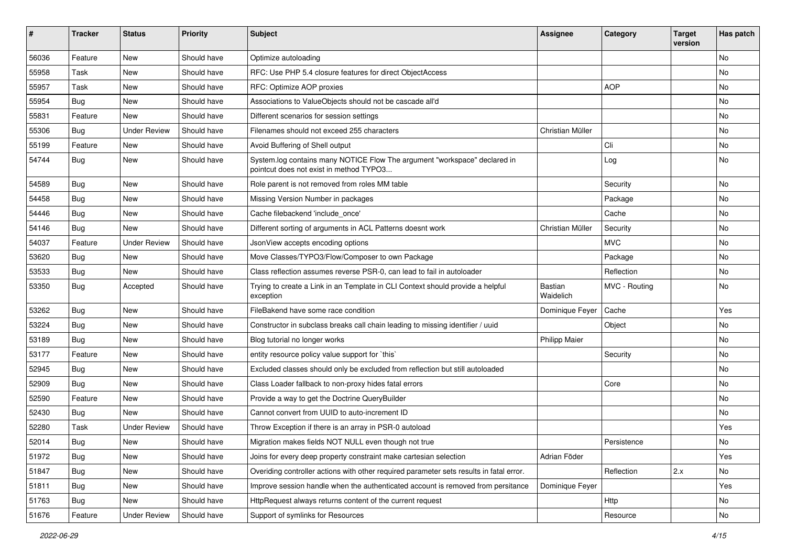| #     | <b>Tracker</b>   | <b>Status</b>       | <b>Priority</b> | <b>Subject</b>                                                                                                       | <b>Assignee</b>      | Category      | <b>Target</b><br>version | Has patch |
|-------|------------------|---------------------|-----------------|----------------------------------------------------------------------------------------------------------------------|----------------------|---------------|--------------------------|-----------|
| 56036 | Feature          | <b>New</b>          | Should have     | Optimize autoloading                                                                                                 |                      |               |                          | No        |
| 55958 | Task             | New                 | Should have     | RFC: Use PHP 5.4 closure features for direct ObjectAccess                                                            |                      |               |                          | No        |
| 55957 | Task             | New                 | Should have     | RFC: Optimize AOP proxies                                                                                            |                      | <b>AOP</b>    |                          | No        |
| 55954 | <b>Bug</b>       | New                 | Should have     | Associations to ValueObjects should not be cascade all'd                                                             |                      |               |                          | No        |
| 55831 | Feature          | New                 | Should have     | Different scenarios for session settings                                                                             |                      |               |                          | No        |
| 55306 | <b>Bug</b>       | <b>Under Review</b> | Should have     | Filenames should not exceed 255 characters                                                                           | Christian Müller     |               |                          | No        |
| 55199 | Feature          | New                 | Should have     | Avoid Buffering of Shell output                                                                                      |                      | Cli           |                          | No        |
| 54744 | Bug              | New                 | Should have     | System.log contains many NOTICE Flow The argument "workspace" declared in<br>pointcut does not exist in method TYPO3 |                      | Log           |                          | No        |
| 54589 | Bug              | New                 | Should have     | Role parent is not removed from roles MM table                                                                       |                      | Security      |                          | <b>No</b> |
| 54458 | Bug              | New                 | Should have     | Missing Version Number in packages                                                                                   |                      | Package       |                          | <b>No</b> |
| 54446 | Bug              | New                 | Should have     | Cache filebackend 'include once'                                                                                     |                      | Cache         |                          | No        |
| 54146 | Bug              | New                 | Should have     | Different sorting of arguments in ACL Patterns doesnt work                                                           | Christian Müller     | Security      |                          | No        |
| 54037 | Feature          | <b>Under Review</b> | Should have     | JsonView accepts encoding options                                                                                    |                      | <b>MVC</b>    |                          | No        |
| 53620 | Bug              | New                 | Should have     | Move Classes/TYPO3/Flow/Composer to own Package                                                                      |                      | Package       |                          | No        |
| 53533 | Bug              | New                 | Should have     | Class reflection assumes reverse PSR-0, can lead to fail in autoloader                                               |                      | Reflection    |                          | No        |
| 53350 | Bug              | Accepted            | Should have     | Trying to create a Link in an Template in CLI Context should provide a helpful<br>exception                          | Bastian<br>Waidelich | MVC - Routing |                          | No        |
| 53262 | Bug              | <b>New</b>          | Should have     | FileBakend have some race condition                                                                                  | Dominique Feyer      | Cache         |                          | Yes       |
| 53224 | Bug              | New                 | Should have     | Constructor in subclass breaks call chain leading to missing identifier / uuid                                       |                      | Object        |                          | No        |
| 53189 | Bug              | <b>New</b>          | Should have     | Blog tutorial no longer works                                                                                        | <b>Philipp Maier</b> |               |                          | No        |
| 53177 | Feature          | <b>New</b>          | Should have     | entity resource policy value support for `this`                                                                      |                      | Security      |                          | No        |
| 52945 | Bug              | New                 | Should have     | Excluded classes should only be excluded from reflection but still autoloaded                                        |                      |               |                          | No        |
| 52909 | <b>Bug</b>       | New                 | Should have     | Class Loader fallback to non-proxy hides fatal errors                                                                |                      | Core          |                          | No        |
| 52590 | Feature          | New                 | Should have     | Provide a way to get the Doctrine QueryBuilder                                                                       |                      |               |                          | No        |
| 52430 | Bug              | New                 | Should have     | Cannot convert from UUID to auto-increment ID                                                                        |                      |               |                          | No        |
| 52280 | Task             | <b>Under Review</b> | Should have     | Throw Exception if there is an array in PSR-0 autoload                                                               |                      |               |                          | Yes       |
| 52014 | <sub>i</sub> Bug | New                 | Should have     | Migration makes fields NOT NULL even though not true                                                                 |                      | Persistence   |                          | No        |
| 51972 | <b>Bug</b>       | New                 | Should have     | Joins for every deep property constraint make cartesian selection                                                    | Adrian Föder         |               |                          | Yes       |
| 51847 | Bug              | <b>New</b>          | Should have     | Overiding controller actions with other required parameter sets results in fatal error.                              |                      | Reflection    | 2.x                      | No        |
| 51811 | Bug              | New                 | Should have     | Improve session handle when the authenticated account is removed from persitance                                     | Dominique Feyer      |               |                          | Yes       |
| 51763 | Bug              | New                 | Should have     | HttpRequest always returns content of the current request                                                            |                      | Http          |                          | No        |
| 51676 | Feature          | <b>Under Review</b> | Should have     | Support of symlinks for Resources                                                                                    |                      | Resource      |                          | No        |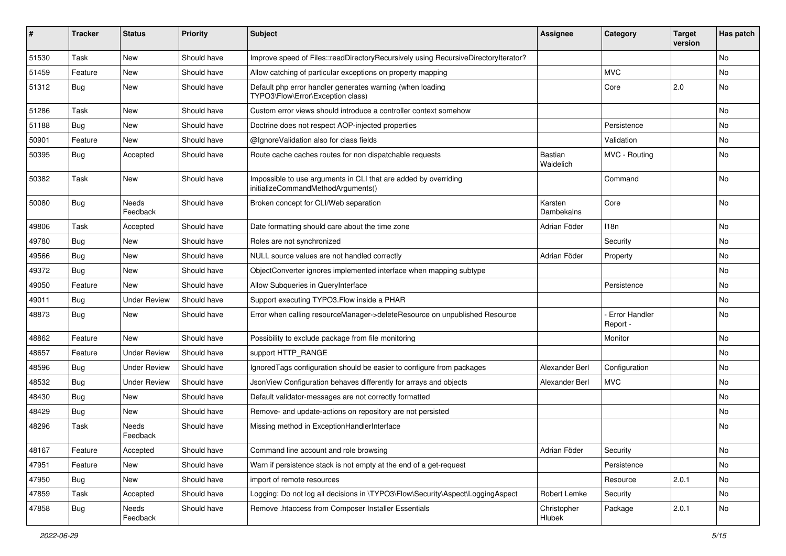| ∦     | <b>Tracker</b> | <b>Status</b>       | <b>Priority</b> | <b>Subject</b>                                                                                        | <b>Assignee</b>              | Category                         | <b>Target</b><br>version | Has patch |
|-------|----------------|---------------------|-----------------|-------------------------------------------------------------------------------------------------------|------------------------------|----------------------------------|--------------------------|-----------|
| 51530 | Task           | New                 | Should have     | Improve speed of Files::readDirectoryRecursively using RecursiveDirectoryIterator?                    |                              |                                  |                          | <b>No</b> |
| 51459 | Feature        | New                 | Should have     | Allow catching of particular exceptions on property mapping                                           |                              | <b>MVC</b>                       |                          | No        |
| 51312 | <b>Bug</b>     | New                 | Should have     | Default php error handler generates warning (when loading<br>TYPO3\Flow\Error\Exception class)        |                              | Core                             | 2.0                      | No        |
| 51286 | Task           | <b>New</b>          | Should have     | Custom error views should introduce a controller context somehow                                      |                              |                                  |                          | <b>No</b> |
| 51188 | Bug            | <b>New</b>          | Should have     | Doctrine does not respect AOP-injected properties                                                     |                              | Persistence                      |                          | No        |
| 50901 | Feature        | New                 | Should have     | @IgnoreValidation also for class fields                                                               |                              | Validation                       |                          | No        |
| 50395 | <b>Bug</b>     | Accepted            | Should have     | Route cache caches routes for non dispatchable requests                                               | Bastian<br>Waidelich         | MVC - Routing                    |                          | <b>No</b> |
| 50382 | Task           | <b>New</b>          | Should have     | Impossible to use arguments in CLI that are added by overriding<br>initializeCommandMethodArguments() |                              | Command                          |                          | <b>No</b> |
| 50080 | Bug            | Needs<br>Feedback   | Should have     | Broken concept for CLI/Web separation                                                                 | Karsten<br><b>Dambekalns</b> | Core                             |                          | No        |
| 49806 | Task           | Accepted            | Should have     | Date formatting should care about the time zone                                                       | Adrian Föder                 | 118 <sub>n</sub>                 |                          | <b>No</b> |
| 49780 | Bug            | <b>New</b>          | Should have     | Roles are not synchronized                                                                            |                              | Security                         |                          | <b>No</b> |
| 49566 | <b>Bug</b>     | New                 | Should have     | NULL source values are not handled correctly                                                          | Adrian Föder                 | Property                         |                          | No        |
| 49372 | Bug            | <b>New</b>          | Should have     | ObjectConverter ignores implemented interface when mapping subtype                                    |                              |                                  |                          | <b>No</b> |
| 49050 | Feature        | New                 | Should have     | Allow Subqueries in QueryInterface                                                                    |                              | Persistence                      |                          | No        |
| 49011 | Bug            | <b>Under Review</b> | Should have     | Support executing TYPO3. Flow inside a PHAR                                                           |                              |                                  |                          | No        |
| 48873 | Bug            | <b>New</b>          | Should have     | Error when calling resourceManager->deleteResource on unpublished Resource                            |                              | <b>Error Handler</b><br>Report - |                          | <b>No</b> |
| 48862 | Feature        | New                 | Should have     | Possibility to exclude package from file monitoring                                                   |                              | Monitor                          |                          | <b>No</b> |
| 48657 | Feature        | <b>Under Review</b> | Should have     | support HTTP_RANGE                                                                                    |                              |                                  |                          | No        |
| 48596 | Bug            | <b>Under Review</b> | Should have     | IgnoredTags configuration should be easier to configure from packages                                 | Alexander Berl               | Configuration                    |                          | No        |
| 48532 | Bug            | <b>Under Review</b> | Should have     | JsonView Configuration behaves differently for arrays and objects                                     | Alexander Berl               | <b>MVC</b>                       |                          | No        |
| 48430 | <b>Bug</b>     | <b>New</b>          | Should have     | Default validator-messages are not correctly formatted                                                |                              |                                  |                          | No        |
| 48429 | <b>Bug</b>     | New                 | Should have     | Remove- and update-actions on repository are not persisted                                            |                              |                                  |                          | No        |
| 48296 | Task           | Needs<br>Feedback   | Should have     | Missing method in ExceptionHandlerInterface                                                           |                              |                                  |                          | No        |
| 48167 | Feature        | Accepted            | Should have     | Command line account and role browsing                                                                | Adrian Föder                 | Security                         |                          | No        |
| 47951 | Feature        | New                 | Should have     | Warn if persistence stack is not empty at the end of a get-request                                    |                              | Persistence                      |                          | No        |
| 47950 | Bug            | New                 | Should have     | import of remote resources                                                                            |                              | Resource                         | 2.0.1                    | No        |
| 47859 | Task           | Accepted            | Should have     | Logging: Do not log all decisions in \TYPO3\Flow\Security\Aspect\LoggingAspect                        | Robert Lemke                 | Security                         |                          | No        |
| 47858 | <b>Bug</b>     | Needs<br>Feedback   | Should have     | Remove .htaccess from Composer Installer Essentials                                                   | Christopher<br>Hlubek        | Package                          | 2.0.1                    | No        |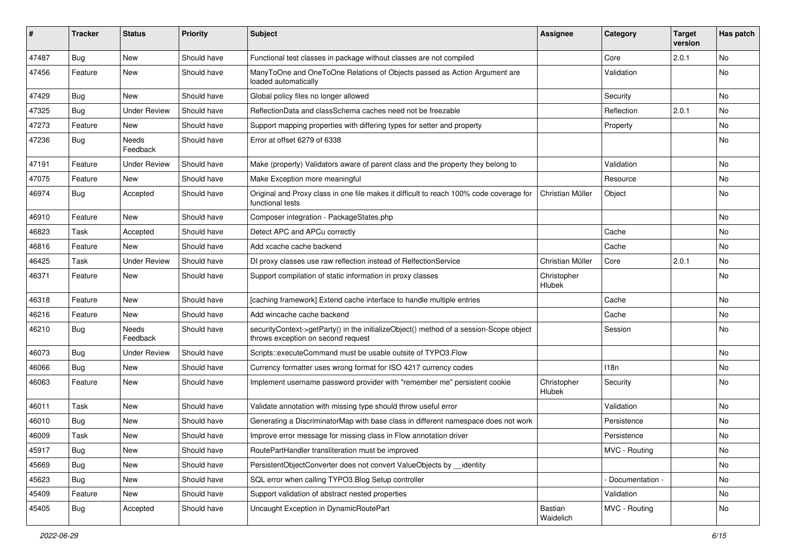| ∦     | <b>Tracker</b> | <b>Status</b>       | <b>Priority</b> | <b>Subject</b>                                                                                                               | <b>Assignee</b>       | Category         | <b>Target</b><br>version | Has patch |
|-------|----------------|---------------------|-----------------|------------------------------------------------------------------------------------------------------------------------------|-----------------------|------------------|--------------------------|-----------|
| 47487 | Bug            | New                 | Should have     | Functional test classes in package without classes are not compiled                                                          |                       | Core             | 2.0.1                    | No        |
| 47456 | Feature        | New                 | Should have     | ManyToOne and OneToOne Relations of Objects passed as Action Argument are<br>loaded automatically                            |                       | Validation       |                          | No        |
| 47429 | Bug            | <b>New</b>          | Should have     | Global policy files no longer allowed                                                                                        |                       | Security         |                          | No        |
| 47325 | Bug            | <b>Under Review</b> | Should have     | ReflectionData and classSchema caches need not be freezable                                                                  |                       | Reflection       | 2.0.1                    | <b>No</b> |
| 47273 | Feature        | <b>New</b>          | Should have     | Support mapping properties with differing types for setter and property                                                      |                       | Property         |                          | <b>No</b> |
| 47236 | Bug            | Needs<br>Feedback   | Should have     | Error at offset 6279 of 6338                                                                                                 |                       |                  |                          | No        |
| 47191 | Feature        | <b>Under Review</b> | Should have     | Make (property) Validators aware of parent class and the property they belong to                                             |                       | Validation       |                          | <b>No</b> |
| 47075 | Feature        | New                 | Should have     | Make Exception more meaningful                                                                                               |                       | Resource         |                          | No        |
| 46974 | <b>Bug</b>     | Accepted            | Should have     | Original and Proxy class in one file makes it difficult to reach 100% code coverage for<br>functional tests                  | Christian Müller      | Object           |                          | No        |
| 46910 | Feature        | <b>New</b>          | Should have     | Composer integration - PackageStates.php                                                                                     |                       |                  |                          | <b>No</b> |
| 46823 | Task           | Accepted            | Should have     | Detect APC and APCu correctly                                                                                                |                       | Cache            |                          | No        |
| 46816 | Feature        | <b>New</b>          | Should have     | Add xcache cache backend                                                                                                     |                       | Cache            |                          | No        |
| 46425 | Task           | <b>Under Review</b> | Should have     | DI proxy classes use raw reflection instead of RelfectionService                                                             | Christian Müller      | Core             | 2.0.1                    | No        |
| 46371 | Feature        | New                 | Should have     | Support compilation of static information in proxy classes                                                                   | Christopher<br>Hlubek |                  |                          | No        |
| 46318 | Feature        | New                 | Should have     | [caching framework] Extend cache interface to handle multiple entries                                                        |                       | Cache            |                          | <b>No</b> |
| 46216 | Feature        | <b>New</b>          | Should have     | Add wincache cache backend                                                                                                   |                       | Cache            |                          | No        |
| 46210 | <b>Bug</b>     | Needs<br>Feedback   | Should have     | securityContext->getParty() in the initializeObject() method of a session-Scope object<br>throws exception on second request |                       | Session          |                          | No        |
| 46073 | Bug            | <b>Under Review</b> | Should have     | Scripts::executeCommand must be usable outsite of TYPO3.Flow                                                                 |                       |                  |                          | No        |
| 46066 | <b>Bug</b>     | <b>New</b>          | Should have     | Currency formatter uses wrong format for ISO 4217 currency codes                                                             |                       | 118 <sub>n</sub> |                          | No        |
| 46063 | Feature        | New                 | Should have     | Implement username password provider with "remember me" persistent cookie                                                    | Christopher<br>Hlubek | Security         |                          | No        |
| 46011 | Task           | <b>New</b>          | Should have     | Validate annotation with missing type should throw useful error                                                              |                       | Validation       |                          | <b>No</b> |
| 46010 | Bug            | New                 | Should have     | Generating a DiscriminatorMap with base class in different namespace does not work                                           |                       | Persistence      |                          | No        |
| 46009 | Task           | New                 | Should have     | Improve error message for missing class in Flow annotation driver                                                            |                       | Persistence      |                          | No        |
| 45917 | i Bug          | New                 | Should have     | RoutePartHandler transliteration must be improved                                                                            |                       | MVC - Routing    |                          | No        |
| 45669 | <b>Bug</b>     | New                 | Should have     | PersistentObjectConverter does not convert ValueObjects by __ identity                                                       |                       |                  |                          | No        |
| 45623 | Bug            | New                 | Should have     | SQL error when calling TYPO3.Blog Setup controller                                                                           |                       | Documentation -  |                          | No        |
| 45409 | Feature        | New                 | Should have     | Support validation of abstract nested properties                                                                             |                       | Validation       |                          | No        |
| 45405 | <b>Bug</b>     | Accepted            | Should have     | Uncaught Exception in DynamicRoutePart                                                                                       | Bastian<br>Waidelich  | MVC - Routing    |                          | No        |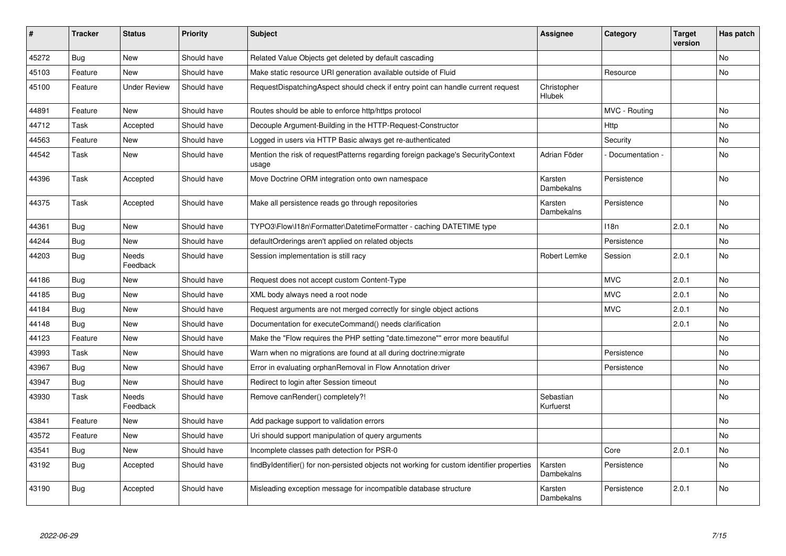| #     | <b>Tracker</b> | <b>Status</b>            | <b>Priority</b> | <b>Subject</b>                                                                             | <b>Assignee</b>        | Category         | <b>Target</b><br>version | Has patch      |
|-------|----------------|--------------------------|-----------------|--------------------------------------------------------------------------------------------|------------------------|------------------|--------------------------|----------------|
| 45272 | <b>Bug</b>     | <b>New</b>               | Should have     | Related Value Objects get deleted by default cascading                                     |                        |                  |                          | No             |
| 45103 | Feature        | New                      | Should have     | Make static resource URI generation available outside of Fluid                             |                        | Resource         |                          | No             |
| 45100 | Feature        | <b>Under Review</b>      | Should have     | RequestDispatchingAspect should check if entry point can handle current request            | Christopher<br>Hlubek  |                  |                          |                |
| 44891 | Feature        | <b>New</b>               | Should have     | Routes should be able to enforce http/https protocol                                       |                        | MVC - Routing    |                          | No             |
| 44712 | Task           | Accepted                 | Should have     | Decouple Argument-Building in the HTTP-Request-Constructor                                 |                        | Http             |                          | N <sub>o</sub> |
| 44563 | Feature        | <b>New</b>               | Should have     | Logged in users via HTTP Basic always get re-authenticated                                 |                        | Security         |                          | No             |
| 44542 | Task           | New                      | Should have     | Mention the risk of request Patterns regarding foreign package's Security Context<br>usage | Adrian Föder           | Documentation -  |                          | No             |
| 44396 | Task           | Accepted                 | Should have     | Move Doctrine ORM integration onto own namespace                                           | Karsten<br>Dambekalns  | Persistence      |                          | <b>No</b>      |
| 44375 | Task           | Accepted                 | Should have     | Make all persistence reads go through repositories                                         | Karsten<br>Dambekalns  | Persistence      |                          | <b>No</b>      |
| 44361 | Bug            | <b>New</b>               | Should have     | TYPO3\Flow\I18n\Formatter\DatetimeFormatter - caching DATETIME type                        |                        | 118 <sub>n</sub> | 2.0.1                    | No.            |
| 44244 | <b>Bug</b>     | <b>New</b>               | Should have     | defaultOrderings aren't applied on related objects                                         |                        | Persistence      |                          | <b>No</b>      |
| 44203 | <b>Bug</b>     | Needs<br>Feedback        | Should have     | Session implementation is still racy                                                       | Robert Lemke           | Session          | 2.0.1                    | No             |
| 44186 | Bug            | <b>New</b>               | Should have     | Request does not accept custom Content-Type                                                |                        | <b>MVC</b>       | 2.0.1                    | <b>No</b>      |
| 44185 | <b>Bug</b>     | <b>New</b>               | Should have     | XML body always need a root node                                                           |                        | <b>MVC</b>       | 2.0.1                    | N <sub>o</sub> |
| 44184 | Bug            | New                      | Should have     | Request arguments are not merged correctly for single object actions                       |                        | <b>MVC</b>       | 2.0.1                    | No             |
| 44148 | <b>Bug</b>     | <b>New</b>               | Should have     | Documentation for executeCommand() needs clarification                                     |                        |                  | 2.0.1                    | No.            |
| 44123 | Feature        | New                      | Should have     | Make the "Flow requires the PHP setting "date.timezone"" error more beautiful              |                        |                  |                          | No             |
| 43993 | Task           | New                      | Should have     | Warn when no migrations are found at all during doctrine: migrate                          |                        | Persistence      |                          | No             |
| 43967 | <b>Bug</b>     | <b>New</b>               | Should have     | Error in evaluating orphanRemoval in Flow Annotation driver                                |                        | Persistence      |                          | No.            |
| 43947 | Bug            | New                      | Should have     | Redirect to login after Session timeout                                                    |                        |                  |                          | No             |
| 43930 | Task           | <b>Needs</b><br>Feedback | Should have     | Remove canRender() completely?!                                                            | Sebastian<br>Kurfuerst |                  |                          | No.            |
| 43841 | Feature        | <b>New</b>               | Should have     | Add package support to validation errors                                                   |                        |                  |                          | No             |
| 43572 | Feature        | <b>New</b>               | Should have     | Uri should support manipulation of query arguments                                         |                        |                  |                          | No.            |
| 43541 | Bug            | New                      | Should have     | Incomplete classes path detection for PSR-0                                                |                        | Core             | 2.0.1                    | No             |
| 43192 | <b>Bug</b>     | Accepted                 | Should have     | findByIdentifier() for non-persisted objects not working for custom identifier properties  | Karsten<br>Dambekalns  | Persistence      |                          | No             |
| 43190 | Bug            | Accepted                 | Should have     | Misleading exception message for incompatible database structure                           | Karsten<br>Dambekalns  | Persistence      | 2.0.1                    | No             |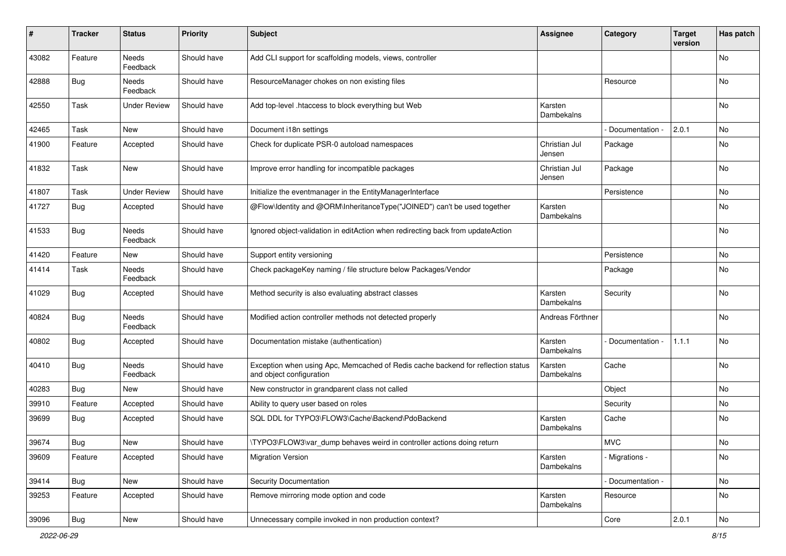| #     | <b>Tracker</b> | <b>Status</b>            | <b>Priority</b> | <b>Subject</b>                                                                                               | <b>Assignee</b>         | Category        | <b>Target</b><br>version | Has patch |
|-------|----------------|--------------------------|-----------------|--------------------------------------------------------------------------------------------------------------|-------------------------|-----------------|--------------------------|-----------|
| 43082 | Feature        | Needs<br>Feedback        | Should have     | Add CLI support for scaffolding models, views, controller                                                    |                         |                 |                          | No        |
| 42888 | <b>Bug</b>     | <b>Needs</b><br>Feedback | Should have     | ResourceManager chokes on non existing files                                                                 |                         | Resource        |                          | No        |
| 42550 | Task           | <b>Under Review</b>      | Should have     | Add top-level .htaccess to block everything but Web                                                          | Karsten<br>Dambekalns   |                 |                          | No        |
| 42465 | Task           | New                      | Should have     | Document i18n settings                                                                                       |                         | Documentation - | 2.0.1                    | No        |
| 41900 | Feature        | Accepted                 | Should have     | Check for duplicate PSR-0 autoload namespaces                                                                | Christian Jul<br>Jensen | Package         |                          | <b>No</b> |
| 41832 | Task           | New                      | Should have     | Improve error handling for incompatible packages                                                             | Christian Jul<br>Jensen | Package         |                          | No        |
| 41807 | Task           | <b>Under Review</b>      | Should have     | Initialize the eventmanager in the EntityManagerInterface                                                    |                         | Persistence     |                          | No        |
| 41727 | <b>Bug</b>     | Accepted                 | Should have     | @Flow\Identity and @ORM\InheritanceType("JOINED") can't be used together                                     | Karsten<br>Dambekalns   |                 |                          | No        |
| 41533 | Bug            | Needs<br>Feedback        | Should have     | Ignored object-validation in editAction when redirecting back from updateAction                              |                         |                 |                          | No        |
| 41420 | Feature        | New                      | Should have     | Support entity versioning                                                                                    |                         | Persistence     |                          | No        |
| 41414 | Task           | Needs<br>Feedback        | Should have     | Check packageKey naming / file structure below Packages/Vendor                                               |                         | Package         |                          | No        |
| 41029 | Bug            | Accepted                 | Should have     | Method security is also evaluating abstract classes                                                          | Karsten<br>Dambekalns   | Security        |                          | No        |
| 40824 | Bug            | Needs<br>Feedback        | Should have     | Modified action controller methods not detected properly                                                     | Andreas Förthner        |                 |                          | No        |
| 40802 | Bug            | Accepted                 | Should have     | Documentation mistake (authentication)                                                                       | Karsten<br>Dambekalns   | Documentation   | 1.1.1                    | No        |
| 40410 | Bug            | Needs<br>Feedback        | Should have     | Exception when using Apc, Memcached of Redis cache backend for reflection status<br>and object configuration | Karsten<br>Dambekalns   | Cache           |                          | No        |
| 40283 | <b>Bug</b>     | New                      | Should have     | New constructor in grandparent class not called                                                              |                         | Object          |                          | No        |
| 39910 | Feature        | Accepted                 | Should have     | Ability to query user based on roles                                                                         |                         | Security        |                          | No        |
| 39699 | Bug            | Accepted                 | Should have     | SQL DDL for TYPO3\FLOW3\Cache\Backend\PdoBackend                                                             | Karsten<br>Dambekalns   | Cache           |                          | No        |
| 39674 | Bug            | New                      | Should have     | \TYPO3\FLOW3\var_dump behaves weird in controller actions doing return                                       |                         | <b>MVC</b>      |                          | No        |
| 39609 | Feature        | Accepted                 | Should have     | <b>Migration Version</b>                                                                                     | Karsten<br>Dambekalns   | - Migrations -  |                          | No        |
| 39414 | Bug            | New                      | Should have     | <b>Security Documentation</b>                                                                                |                         | Documentation - |                          | No        |
| 39253 | Feature        | Accepted                 | Should have     | Remove mirroring mode option and code                                                                        | Karsten<br>Dambekalns   | Resource        |                          | No        |
| 39096 | Bug            | New                      | Should have     | Unnecessary compile invoked in non production context?                                                       |                         | Core            | 2.0.1                    | No        |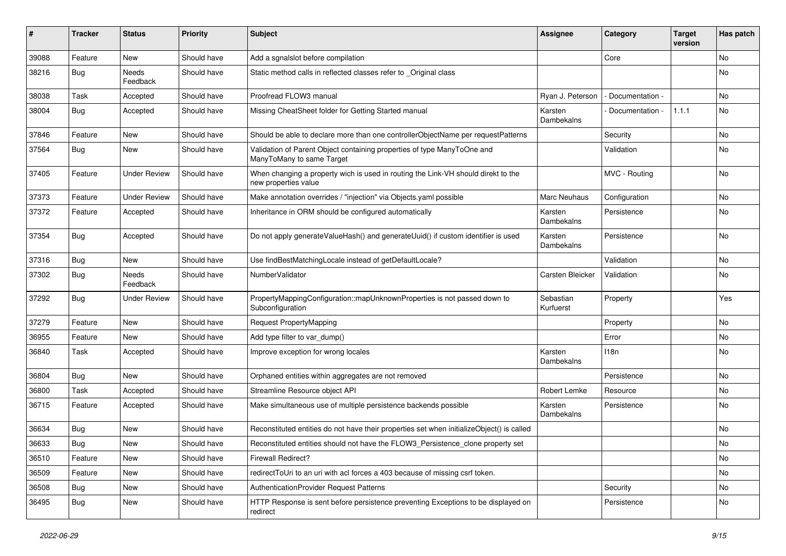| ∦     | <b>Tracker</b> | <b>Status</b>       | <b>Priority</b> | Subject                                                                                                   | <b>Assignee</b>        | Category        | <b>Target</b><br>version | Has patch |
|-------|----------------|---------------------|-----------------|-----------------------------------------------------------------------------------------------------------|------------------------|-----------------|--------------------------|-----------|
| 39088 | Feature        | New                 | Should have     | Add a sgnalslot before compilation                                                                        |                        | Core            |                          | No        |
| 38216 | Bug            | Needs<br>Feedback   | Should have     | Static method calls in reflected classes refer to _Original class                                         |                        |                 |                          | No        |
| 38038 | Task           | Accepted            | Should have     | Proofread FLOW3 manual                                                                                    | Ryan J. Peterson       | Documentation - |                          | <b>No</b> |
| 38004 | Bug            | Accepted            | Should have     | Missing CheatSheet folder for Getting Started manual                                                      | Karsten<br>Dambekalns  | Documentation - | 1.1.1                    | No        |
| 37846 | Feature        | New                 | Should have     | Should be able to declare more than one controllerObjectName per requestPatterns                          |                        | Security        |                          | No        |
| 37564 | <b>Bug</b>     | New                 | Should have     | Validation of Parent Object containing properties of type ManyToOne and<br>ManyToMany to same Target      |                        | Validation      |                          | <b>No</b> |
| 37405 | Feature        | <b>Under Review</b> | Should have     | When changing a property wich is used in routing the Link-VH should direkt to the<br>new properties value |                        | MVC - Routing   |                          | <b>No</b> |
| 37373 | Feature        | <b>Under Review</b> | Should have     | Make annotation overrides / "injection" via Objects.yaml possible                                         | Marc Neuhaus           | Configuration   |                          | No        |
| 37372 | Feature        | Accepted            | Should have     | Inheritance in ORM should be configured automatically                                                     | Karsten<br>Dambekalns  | Persistence     |                          | <b>No</b> |
| 37354 | Bug            | Accepted            | Should have     | Do not apply generateValueHash() and generateUuid() if custom identifier is used                          | Karsten<br>Dambekalns  | Persistence     |                          | <b>No</b> |
| 37316 | Bug            | New                 | Should have     | Use findBestMatchingLocale instead of getDefaultLocale?                                                   |                        | Validation      |                          | <b>No</b> |
| 37302 | Bug            | Needs<br>Feedback   | Should have     | NumberValidator                                                                                           | Carsten Bleicker       | Validation      |                          | No        |
| 37292 | Bug            | <b>Under Review</b> | Should have     | PropertyMappingConfiguration::mapUnknownProperties is not passed down to<br>Subconfiguration              | Sebastian<br>Kurfuerst | Property        |                          | Yes       |
| 37279 | Feature        | New                 | Should have     | <b>Request PropertyMapping</b>                                                                            |                        | Property        |                          | No        |
| 36955 | Feature        | <b>New</b>          | Should have     | Add type filter to var_dump()                                                                             |                        | Error           |                          | <b>No</b> |
| 36840 | Task           | Accepted            | Should have     | Improve exception for wrong locales                                                                       | Karsten<br>Dambekalns  | 118n            |                          | No        |
| 36804 | Bug            | New                 | Should have     | Orphaned entities within aggregates are not removed                                                       |                        | Persistence     |                          | No        |
| 36800 | Task           | Accepted            | Should have     | Streamline Resource object API                                                                            | Robert Lemke           | Resource        |                          | No        |
| 36715 | Feature        | Accepted            | Should have     | Make simultaneous use of multiple persistence backends possible                                           | Karsten<br>Dambekalns  | Persistence     |                          | No        |
| 36634 | <b>Bug</b>     | New                 | Should have     | Reconstituted entities do not have their properties set when initializeObject() is called                 |                        |                 |                          | No        |
| 36633 | <b>Bug</b>     | New                 | Should have     | Reconstituted entities should not have the FLOW3_Persistence_clone property set                           |                        |                 |                          | No        |
| 36510 | Feature        | New                 | Should have     | Firewall Redirect?                                                                                        |                        |                 |                          | No        |
| 36509 | Feature        | New                 | Should have     | redirectToUri to an uri with acl forces a 403 because of missing csrf token.                              |                        |                 |                          | No        |
| 36508 | Bug            | New                 | Should have     | AuthenticationProvider Request Patterns                                                                   |                        | Security        |                          | No        |
| 36495 | <b>Bug</b>     | New                 | Should have     | HTTP Response is sent before persistence preventing Exceptions to be displayed on<br>redirect             |                        | Persistence     |                          | No        |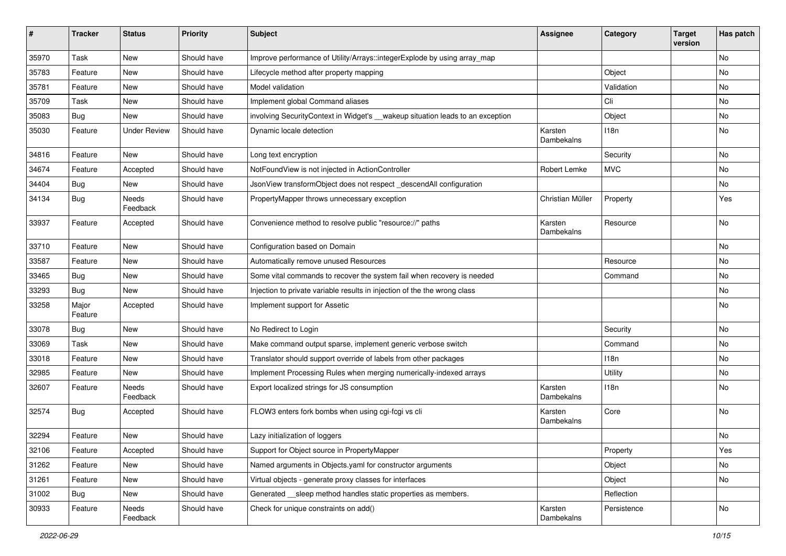| ∦     | <b>Tracker</b>   | <b>Status</b>       | <b>Priority</b> | <b>Subject</b>                                                                  | <b>Assignee</b>       | Category    | <b>Target</b><br>version | Has patch |
|-------|------------------|---------------------|-----------------|---------------------------------------------------------------------------------|-----------------------|-------------|--------------------------|-----------|
| 35970 | Task             | New                 | Should have     | Improve performance of Utility/Arrays::integerExplode by using array_map        |                       |             |                          | No        |
| 35783 | Feature          | New                 | Should have     | Lifecycle method after property mapping                                         |                       | Object      |                          | No        |
| 35781 | Feature          | New                 | Should have     | Model validation                                                                |                       | Validation  |                          | No        |
| 35709 | Task             | <b>New</b>          | Should have     | Implement global Command aliases                                                |                       | Cli         |                          | <b>No</b> |
| 35083 | Bug              | New                 | Should have     | involving Security Context in Widget's __wakeup situation leads to an exception |                       | Object      |                          | No        |
| 35030 | Feature          | <b>Under Review</b> | Should have     | Dynamic locale detection                                                        | Karsten<br>Dambekalns | 118n        |                          | No        |
| 34816 | Feature          | New                 | Should have     | Long text encryption                                                            |                       | Security    |                          | <b>No</b> |
| 34674 | Feature          | Accepted            | Should have     | NotFoundView is not injected in ActionController                                | Robert Lemke          | <b>MVC</b>  |                          | No        |
| 34404 | <b>Bug</b>       | New                 | Should have     | JsonView transformObject does not respect_descendAll configuration              |                       |             |                          | No        |
| 34134 | <b>Bug</b>       | Needs<br>Feedback   | Should have     | PropertyMapper throws unnecessary exception                                     | Christian Müller      | Property    |                          | Yes       |
| 33937 | Feature          | Accepted            | Should have     | Convenience method to resolve public "resource://" paths                        | Karsten<br>Dambekalns | Resource    |                          | <b>No</b> |
| 33710 | Feature          | New                 | Should have     | Configuration based on Domain                                                   |                       |             |                          | No        |
| 33587 | Feature          | New                 | Should have     | Automatically remove unused Resources                                           |                       | Resource    |                          | No        |
| 33465 | Bug              | New                 | Should have     | Some vital commands to recover the system fail when recovery is needed          |                       | Command     |                          | No        |
| 33293 | <b>Bug</b>       | <b>New</b>          | Should have     | Injection to private variable results in injection of the the wrong class       |                       |             |                          | No        |
| 33258 | Major<br>Feature | Accepted            | Should have     | Implement support for Assetic                                                   |                       |             |                          | <b>No</b> |
| 33078 | <b>Bug</b>       | New                 | Should have     | No Redirect to Login                                                            |                       | Security    |                          | No        |
| 33069 | Task             | New                 | Should have     | Make command output sparse, implement generic verbose switch                    |                       | Command     |                          | <b>No</b> |
| 33018 | Feature          | New                 | Should have     | Translator should support override of labels from other packages                |                       | 118n        |                          | No        |
| 32985 | Feature          | New                 | Should have     | Implement Processing Rules when merging numerically-indexed arrays              |                       | Utility     |                          | No        |
| 32607 | Feature          | Needs<br>Feedback   | Should have     | Export localized strings for JS consumption                                     | Karsten<br>Dambekalns | 118n        |                          | No        |
| 32574 | <b>Bug</b>       | Accepted            | Should have     | FLOW3 enters fork bombs when using cgi-fcgi vs cli                              | Karsten<br>Dambekalns | Core        |                          | <b>No</b> |
| 32294 | Feature          | New                 | Should have     | Lazy initialization of loggers                                                  |                       |             |                          | No        |
| 32106 | Feature          | Accepted            | Should have     | Support for Object source in PropertyMapper                                     |                       | Property    |                          | Yes       |
| 31262 | Feature          | New                 | Should have     | Named arguments in Objects.yaml for constructor arguments                       |                       | Object      |                          | No        |
| 31261 | Feature          | New                 | Should have     | Virtual objects - generate proxy classes for interfaces                         |                       | Object      |                          | No        |
| 31002 | Bug              | New                 | Should have     | Generated __sleep method handles static properties as members.                  |                       | Reflection  |                          |           |
| 30933 | Feature          | Needs<br>Feedback   | Should have     | Check for unique constraints on add()                                           | Karsten<br>Dambekalns | Persistence |                          | No        |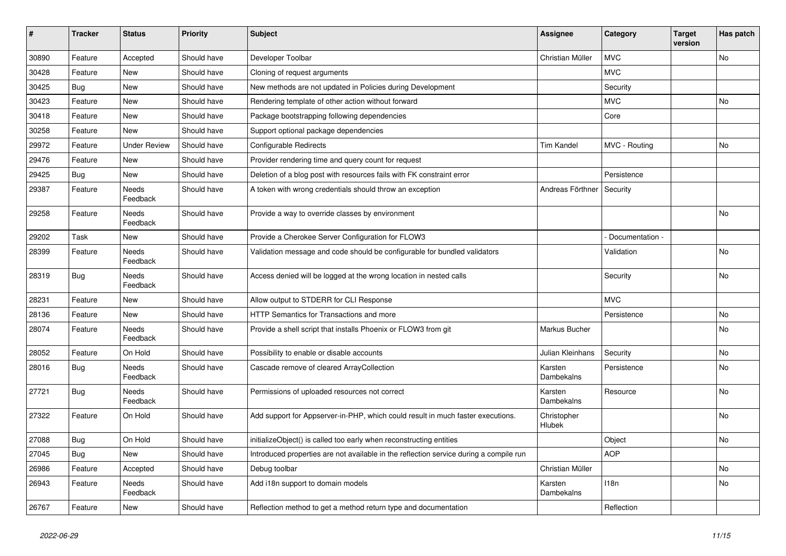| $\sharp$ | <b>Tracker</b> | <b>Status</b>            | <b>Priority</b> | <b>Subject</b>                                                                         | <b>Assignee</b>       | Category         | <b>Target</b><br>version | Has patch |
|----------|----------------|--------------------------|-----------------|----------------------------------------------------------------------------------------|-----------------------|------------------|--------------------------|-----------|
| 30890    | Feature        | Accepted                 | Should have     | Developer Toolbar                                                                      | Christian Müller      | <b>MVC</b>       |                          | <b>No</b> |
| 30428    | Feature        | <b>New</b>               | Should have     | Cloning of request arguments                                                           |                       | <b>MVC</b>       |                          |           |
| 30425    | Bug            | <b>New</b>               | Should have     | New methods are not updated in Policies during Development                             |                       | Security         |                          |           |
| 30423    | Feature        | <b>New</b>               | Should have     | Rendering template of other action without forward                                     |                       | <b>MVC</b>       |                          | <b>No</b> |
| 30418    | Feature        | <b>New</b>               | Should have     | Package bootstrapping following dependencies                                           |                       | Core             |                          |           |
| 30258    | Feature        | <b>New</b>               | Should have     | Support optional package dependencies                                                  |                       |                  |                          |           |
| 29972    | Feature        | <b>Under Review</b>      | Should have     | Configurable Redirects                                                                 | <b>Tim Kandel</b>     | MVC - Routing    |                          | <b>No</b> |
| 29476    | Feature        | New                      | Should have     | Provider rendering time and query count for request                                    |                       |                  |                          |           |
| 29425    | <b>Bug</b>     | <b>New</b>               | Should have     | Deletion of a blog post with resources fails with FK constraint error                  |                       | Persistence      |                          |           |
| 29387    | Feature        | Needs<br>Feedback        | Should have     | A token with wrong credentials should throw an exception                               | Andreas Förthner      | Security         |                          |           |
| 29258    | Feature        | Needs<br>Feedback        | Should have     | Provide a way to override classes by environment                                       |                       |                  |                          | <b>No</b> |
| 29202    | Task           | <b>New</b>               | Should have     | Provide a Cherokee Server Configuration for FLOW3                                      |                       | Documentation -  |                          |           |
| 28399    | Feature        | Needs<br>Feedback        | Should have     | Validation message and code should be configurable for bundled validators              |                       | Validation       |                          | <b>No</b> |
| 28319    | <b>Bug</b>     | Needs<br>Feedback        | Should have     | Access denied will be logged at the wrong location in nested calls                     |                       | Security         |                          | No        |
| 28231    | Feature        | <b>New</b>               | Should have     | Allow output to STDERR for CLI Response                                                |                       | <b>MVC</b>       |                          |           |
| 28136    | Feature        | New                      | Should have     | HTTP Semantics for Transactions and more                                               |                       | Persistence      |                          | <b>No</b> |
| 28074    | Feature        | <b>Needs</b><br>Feedback | Should have     | Provide a shell script that installs Phoenix or FLOW3 from git                         | Markus Bucher         |                  |                          | <b>No</b> |
| 28052    | Feature        | On Hold                  | Should have     | Possibility to enable or disable accounts                                              | Julian Kleinhans      | Security         |                          | <b>No</b> |
| 28016    | <b>Bug</b>     | Needs<br>Feedback        | Should have     | Cascade remove of cleared ArrayCollection                                              | Karsten<br>Dambekalns | Persistence      |                          | No        |
| 27721    | Bug            | <b>Needs</b><br>Feedback | Should have     | Permissions of uploaded resources not correct                                          | Karsten<br>Dambekalns | Resource         |                          | <b>No</b> |
| 27322    | Feature        | On Hold                  | Should have     | Add support for Appserver-in-PHP, which could result in much faster executions.        | Christopher<br>Hlubek |                  |                          | No        |
| 27088    | Bug            | On Hold                  | Should have     | initializeObject() is called too early when reconstructing entities                    |                       | Object           |                          | <b>No</b> |
| 27045    | Bug            | <b>New</b>               | Should have     | Introduced properties are not available in the reflection service during a compile run |                       | <b>AOP</b>       |                          |           |
| 26986    | Feature        | Accepted                 | Should have     | Debug toolbar                                                                          | Christian Müller      |                  |                          | <b>No</b> |
| 26943    | Feature        | Needs<br>Feedback        | Should have     | Add i18n support to domain models                                                      | Karsten<br>Dambekalns | 118 <sub>n</sub> |                          | <b>No</b> |
| 26767    | Feature        | <b>New</b>               | Should have     | Reflection method to get a method return type and documentation                        |                       | Reflection       |                          |           |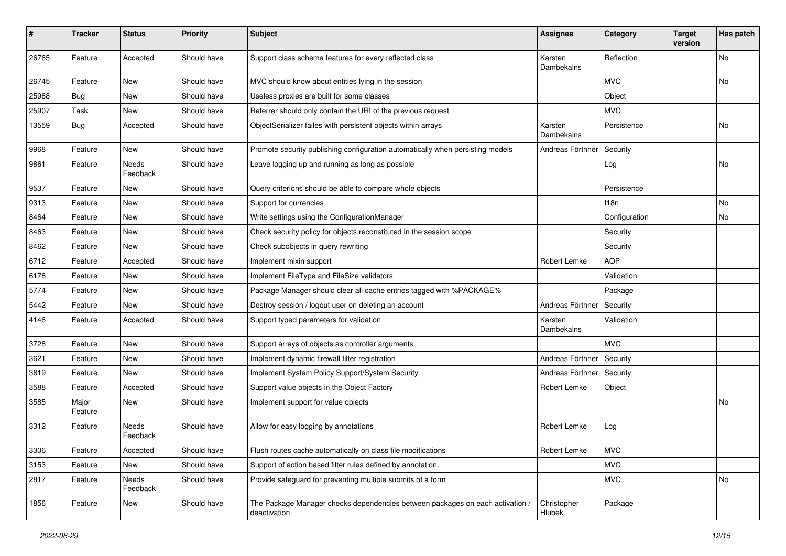| #     | <b>Tracker</b>   | <b>Status</b>     | <b>Priority</b> | <b>Subject</b>                                                                                | Assignee              | Category         | <b>Target</b><br>version | Has patch |
|-------|------------------|-------------------|-----------------|-----------------------------------------------------------------------------------------------|-----------------------|------------------|--------------------------|-----------|
| 26765 | Feature          | Accepted          | Should have     | Support class schema features for every reflected class                                       | Karsten<br>Dambekalns | Reflection       |                          | No        |
| 26745 | Feature          | New               | Should have     | MVC should know about entities lying in the session                                           |                       | <b>MVC</b>       |                          | No        |
| 25988 | Bug              | <b>New</b>        | Should have     | Useless proxies are built for some classes                                                    |                       | Object           |                          |           |
| 25907 | Task             | New               | Should have     | Referrer should only contain the URI of the previous request                                  |                       | <b>MVC</b>       |                          |           |
| 13559 | <b>Bug</b>       | Accepted          | Should have     | ObjectSerializer failes with persistent objects within arrays                                 | Karsten<br>Dambekalns | Persistence      |                          | No        |
| 9968  | Feature          | <b>New</b>        | Should have     | Promote security publishing configuration automatically when persisting models                | Andreas Förthner      | Security         |                          |           |
| 9861  | Feature          | Needs<br>Feedback | Should have     | Leave logging up and running as long as possible                                              |                       | Log              |                          | No        |
| 9537  | Feature          | New               | Should have     | Query criterions should be able to compare whole objects                                      |                       | Persistence      |                          |           |
| 9313  | Feature          | New               | Should have     | Support for currencies                                                                        |                       | 118 <sub>n</sub> |                          | No        |
| 8464  | Feature          | New               | Should have     | Write settings using the ConfigurationManager                                                 |                       | Configuration    |                          | No        |
| 8463  | Feature          | New               | Should have     | Check security policy for objects reconstituted in the session scope                          |                       | Security         |                          |           |
| 8462  | Feature          | New               | Should have     | Check subobjects in query rewriting                                                           |                       | Security         |                          |           |
| 6712  | Feature          | Accepted          | Should have     | Implement mixin support                                                                       | Robert Lemke          | <b>AOP</b>       |                          |           |
| 6178  | Feature          | New               | Should have     | Implement FileType and FileSize validators                                                    |                       | Validation       |                          |           |
| 5774  | Feature          | New               | Should have     | Package Manager should clear all cache entries tagged with %PACKAGE%                          |                       | Package          |                          |           |
| 5442  | Feature          | New               | Should have     | Destroy session / logout user on deleting an account                                          | Andreas Förthner      | Security         |                          |           |
| 4146  | Feature          | Accepted          | Should have     | Support typed parameters for validation                                                       | Karsten<br>Dambekalns | Validation       |                          |           |
| 3728  | Feature          | <b>New</b>        | Should have     | Support arrays of objects as controller arguments                                             |                       | <b>MVC</b>       |                          |           |
| 3621  | Feature          | New               | Should have     | Implement dynamic firewall filter registration                                                | Andreas Förthner      | Security         |                          |           |
| 3619  | Feature          | New               | Should have     | Implement System Policy Support/System Security                                               | Andreas Förthner      | Security         |                          |           |
| 3588  | Feature          | Accepted          | Should have     | Support value objects in the Object Factory                                                   | Robert Lemke          | Object           |                          |           |
| 3585  | Major<br>Feature | New               | Should have     | Implement support for value objects                                                           |                       |                  |                          | No        |
| 3312  | Feature          | Needs<br>Feedback | Should have     | Allow for easy logging by annotations                                                         | Robert Lemke          | Log              |                          |           |
| 3306  | Feature          | Accepted          | Should have     | Flush routes cache automatically on class file modifications                                  | Robert Lemke          | <b>MVC</b>       |                          |           |
| 3153  | Feature          | New               | Should have     | Support of action based filter rules defined by annotation.                                   |                       | <b>MVC</b>       |                          |           |
| 2817  | Feature          | Needs<br>Feedback | Should have     | Provide safeguard for preventing multiple submits of a form                                   |                       | <b>MVC</b>       |                          | No        |
| 1856  | Feature          | New               | Should have     | The Package Manager checks dependencies between packages on each activation /<br>deactivation | Christopher<br>Hlubek | Package          |                          |           |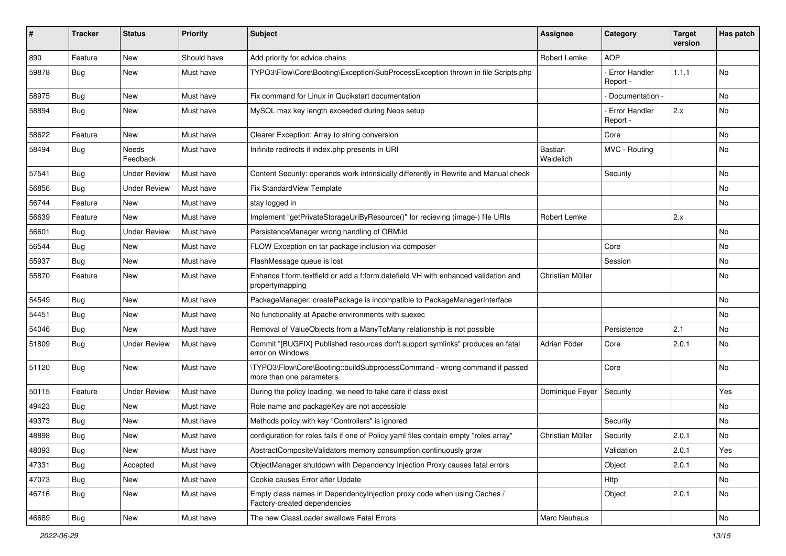| ∦     | <b>Tracker</b> | <b>Status</b>       | <b>Priority</b> | <b>Subject</b>                                                                                          | <b>Assignee</b>      | Category                         | <b>Target</b><br>version | Has patch |
|-------|----------------|---------------------|-----------------|---------------------------------------------------------------------------------------------------------|----------------------|----------------------------------|--------------------------|-----------|
| 890   | Feature        | New                 | Should have     | Add priority for advice chains                                                                          | Robert Lemke         | <b>AOP</b>                       |                          |           |
| 59878 | Bug            | New                 | Must have       | TYPO3\Flow\Core\Booting\Exception\SubProcessException thrown in file Scripts.php                        |                      | Error Handler<br>Report -        | 1.1.1                    | No        |
| 58975 | Bug            | <b>New</b>          | Must have       | Fix command for Linux in Qucikstart documentation                                                       |                      | Documentation -                  |                          | <b>No</b> |
| 58894 | <b>Bug</b>     | New                 | Must have       | MySQL max key length exceeded during Neos setup                                                         |                      | <b>Error Handler</b><br>Report - | 2.x                      | No        |
| 58622 | Feature        | New                 | Must have       | Clearer Exception: Array to string conversion                                                           |                      | Core                             |                          | No        |
| 58494 | <b>Bug</b>     | Needs<br>Feedback   | Must have       | Inifinite redirects if index.php presents in URI                                                        | Bastian<br>Waidelich | MVC - Routing                    |                          | No        |
| 57541 | <b>Bug</b>     | <b>Under Review</b> | Must have       | Content Security: operands work intrinsically differently in Rewrite and Manual check                   |                      | Security                         |                          | <b>No</b> |
| 56856 | <b>Bug</b>     | <b>Under Review</b> | Must have       | <b>Fix StandardView Template</b>                                                                        |                      |                                  |                          | No        |
| 56744 | Feature        | <b>New</b>          | Must have       | stay logged in                                                                                          |                      |                                  |                          | No        |
| 56639 | Feature        | New                 | Must have       | Implement "getPrivateStorageUriByResource()" for recieving (image-) file URIs                           | Robert Lemke         |                                  | 2.x                      |           |
| 56601 | Bug            | <b>Under Review</b> | Must have       | PersistenceManager wrong handling of ORM\ld                                                             |                      |                                  |                          | <b>No</b> |
| 56544 | <b>Bug</b>     | New                 | Must have       | FLOW Exception on tar package inclusion via composer                                                    |                      | Core                             |                          | No        |
| 55937 | <b>Bug</b>     | New                 | Must have       | FlashMessage queue is lost                                                                              |                      | Session                          |                          | No        |
| 55870 | Feature        | New                 | Must have       | Enhance f:form.textfield or add a f:form.datefield VH with enhanced validation and<br>propertymapping   | Christian Müller     |                                  |                          | No        |
| 54549 | Bug            | New                 | Must have       | PackageManager::createPackage is incompatible to PackageManagerInterface                                |                      |                                  |                          | No        |
| 54451 | Bug            | <b>New</b>          | Must have       | No functionality at Apache environments with suexec                                                     |                      |                                  |                          | No        |
| 54046 | <b>Bug</b>     | New                 | Must have       | Removal of ValueObjects from a ManyToMany relationship is not possible                                  |                      | Persistence                      | 2.1                      | No        |
| 51809 | <b>Bug</b>     | <b>Under Review</b> | Must have       | Commit "[BUGFIX] Published resources don't support symlinks" produces an fatal<br>error on Windows      | Adrian Föder         | Core                             | 2.0.1                    | <b>No</b> |
| 51120 | Bug            | <b>New</b>          | Must have       | \TYPO3\Flow\Core\Booting::buildSubprocessCommand - wrong command if passed<br>more than one parameters  |                      | Core                             |                          | <b>No</b> |
| 50115 | Feature        | <b>Under Review</b> | Must have       | During the policy loading, we need to take care if class exist                                          | Dominique Feyer      | Security                         |                          | Yes       |
| 49423 | Bug            | New                 | Must have       | Role name and packageKey are not accessible                                                             |                      |                                  |                          | No        |
| 49373 | <b>Bug</b>     | New                 | Must have       | Methods policy with key "Controllers" is ignored                                                        |                      | Security                         |                          | No        |
| 48898 | Bug            | New                 | Must have       | configuration for roles fails if one of Policy yaml files contain empty "roles array"                   | Christian Müller     | Security                         | 2.0.1                    | No        |
| 48093 | <b>Bug</b>     | New                 | Must have       | AbstractCompositeValidators memory consumption continuously grow                                        |                      | Validation                       | 2.0.1                    | Yes       |
| 47331 | <b>Bug</b>     | Accepted            | Must have       | ObjectManager shutdown with Dependency Injection Proxy causes fatal errors                              |                      | Object                           | 2.0.1                    | No        |
| 47073 | <b>Bug</b>     | New                 | Must have       | Cookie causes Error after Update                                                                        |                      | Http                             |                          | No        |
| 46716 | <b>Bug</b>     | New                 | Must have       | Empty class names in DependencyInjection proxy code when using Caches /<br>Factory-created dependencies |                      | Object                           | 2.0.1                    | No        |
| 46689 | i Bug          | New                 | Must have       | The new ClassLoader swallows Fatal Errors                                                               | Marc Neuhaus         |                                  |                          | No        |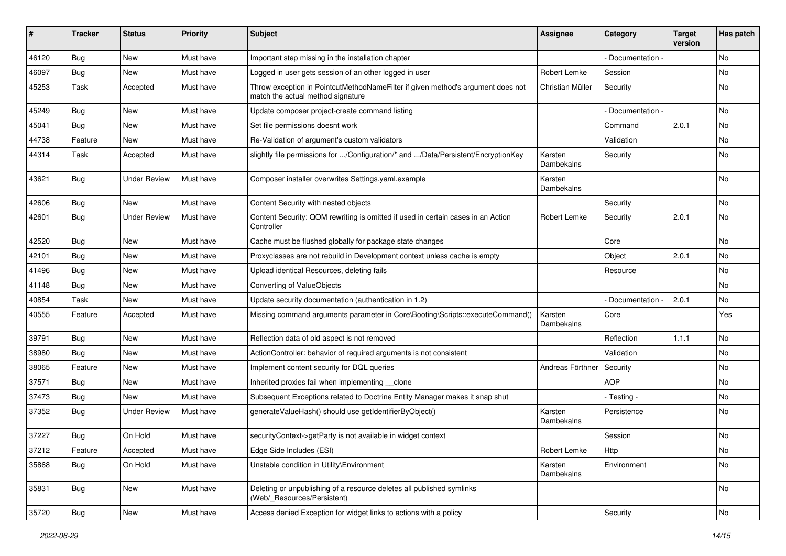| ∦     | <b>Tracker</b> | <b>Status</b>       | <b>Priority</b> | <b>Subject</b>                                                                                                       | <b>Assignee</b>       | Category        | <b>Target</b><br>version | Has patch |
|-------|----------------|---------------------|-----------------|----------------------------------------------------------------------------------------------------------------------|-----------------------|-----------------|--------------------------|-----------|
| 46120 | Bug            | New                 | Must have       | Important step missing in the installation chapter                                                                   |                       | Documentation - |                          | <b>No</b> |
| 46097 | <b>Bug</b>     | <b>New</b>          | Must have       | Logged in user gets session of an other logged in user                                                               | Robert Lemke          | Session         |                          | No.       |
| 45253 | Task           | Accepted            | Must have       | Throw exception in PointcutMethodNameFilter if given method's argument does not<br>match the actual method signature | Christian Müller      | Security        |                          | No        |
| 45249 | Bug            | <b>New</b>          | Must have       | Update composer project-create command listing                                                                       |                       | Documentation - |                          | <b>No</b> |
| 45041 | <b>Bug</b>     | <b>New</b>          | Must have       | Set file permissions doesnt work                                                                                     |                       | Command         | 2.0.1                    | <b>No</b> |
| 44738 | Feature        | New                 | Must have       | Re-Validation of argument's custom validators                                                                        |                       | Validation      |                          | No        |
| 44314 | Task           | Accepted            | Must have       | slightly file permissions for /Configuration/* and /Data/Persistent/EncryptionKey                                    | Karsten<br>Dambekalns | Security        |                          | No        |
| 43621 | Bug            | <b>Under Review</b> | Must have       | Composer installer overwrites Settings.yaml.example                                                                  | Karsten<br>Dambekalns |                 |                          | <b>No</b> |
| 42606 | Bug            | <b>New</b>          | Must have       | Content Security with nested objects                                                                                 |                       | Security        |                          | No        |
| 42601 | <b>Bug</b>     | <b>Under Review</b> | Must have       | Content Security: QOM rewriting is omitted if used in certain cases in an Action<br>Controller                       | Robert Lemke          | Security        | 2.0.1                    | <b>No</b> |
| 42520 | Bug            | <b>New</b>          | Must have       | Cache must be flushed globally for package state changes                                                             |                       | Core            |                          | <b>No</b> |
| 42101 | <b>Bug</b>     | New                 | Must have       | Proxyclasses are not rebuild in Development context unless cache is empty                                            |                       | Object          | 2.0.1                    | No        |
| 41496 | Bug            | <b>New</b>          | Must have       | Upload identical Resources, deleting fails                                                                           |                       | Resource        |                          | <b>No</b> |
| 41148 | Bug            | New                 | Must have       | Converting of ValueObjects                                                                                           |                       |                 |                          | No        |
| 40854 | Task           | New                 | Must have       | Update security documentation (authentication in 1.2)                                                                |                       | Documentation - | 2.0.1                    | No        |
| 40555 | Feature        | Accepted            | Must have       | Missing command arguments parameter in Core\Booting\Scripts::executeCommand()                                        | Karsten<br>Dambekalns | Core            |                          | Yes       |
| 39791 | <b>Bug</b>     | New                 | Must have       | Reflection data of old aspect is not removed                                                                         |                       | Reflection      | 1.1.1                    | No        |
| 38980 | Bug            | New                 | Must have       | ActionController: behavior of required arguments is not consistent                                                   |                       | Validation      |                          | No        |
| 38065 | Feature        | New                 | Must have       | Implement content security for DQL queries                                                                           | Andreas Förthner      | Security        |                          | No        |
| 37571 | Bug            | New                 | Must have       | Inherited proxies fail when implementing clone                                                                       |                       | <b>AOP</b>      |                          | No        |
| 37473 | <b>Bug</b>     | <b>New</b>          | Must have       | Subsequent Exceptions related to Doctrine Entity Manager makes it snap shut                                          |                       | - Testing -     |                          | No.       |
| 37352 | Bug            | <b>Under Review</b> | Must have       | generateValueHash() should use getIdentifierByObject()                                                               | Karsten<br>Dambekalns | Persistence     |                          | No        |
| 37227 | Bug            | On Hold             | Must have       | securityContext->getParty is not available in widget context                                                         |                       | Session         |                          | No        |
| 37212 | Feature        | Accepted            | Must have       | Edge Side Includes (ESI)                                                                                             | Robert Lemke          | Http            |                          | No        |
| 35868 | <b>Bug</b>     | On Hold             | Must have       | Unstable condition in Utility\Environment                                                                            | Karsten<br>Dambekalns | Environment     |                          | No        |
| 35831 | <b>Bug</b>     | New                 | Must have       | Deleting or unpublishing of a resource deletes all published symlinks<br>(Web/_Resources/Persistent)                 |                       |                 |                          | No        |
| 35720 | Bug            | New                 | Must have       | Access denied Exception for widget links to actions with a policy                                                    |                       | Security        |                          | No        |